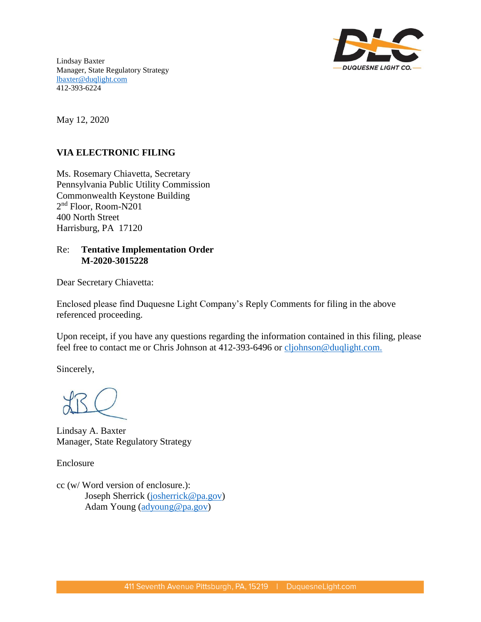

Lindsay Baxter Manager, State Regulatory Strategy [lbaxter@duqlight.com](mailto:slinton-keddie@duqlight.com) 412-393-6224

May 12, 2020

# **VIA ELECTRONIC FILING**

Ms. Rosemary Chiavetta, Secretary Pennsylvania Public Utility Commission Commonwealth Keystone Building 2 nd Floor, Room-N201 400 North Street Harrisburg, PA 17120

# Re: **Tentative Implementation Order M-2020-3015228**

Dear Secretary Chiavetta:

Enclosed please find Duquesne Light Company's Reply Comments for filing in the above referenced proceeding.

Upon receipt, if you have any questions regarding the information contained in this filing, please feel free to contact me or Chris Johnson at 412-393-6496 or cljohnson@duqlight.com.

Sincerely,

Lindsay A. Baxter Manager, State Regulatory Strategy

Enclosure

cc (w/ Word version of enclosure.): Joseph Sherrick [\(josherrick@pa.gov\)](mailto:josherrick@pa.gov) Adam Young [\(adyoung@pa.gov\)](mailto:adyoung@pa.gov)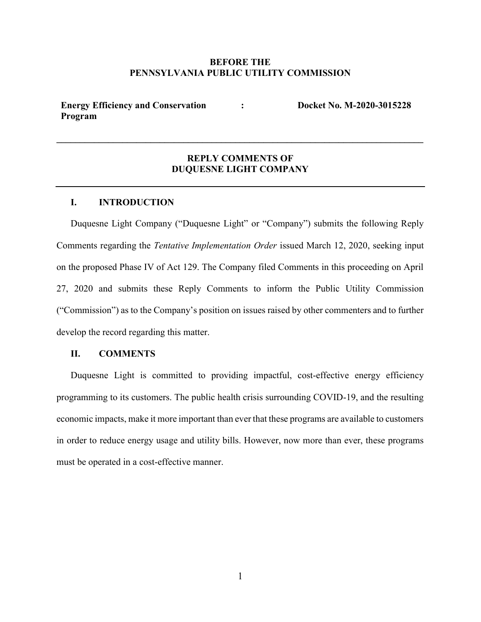## BEFORE THE PENNSYLVANIA PUBLIC UTILITY COMMISSION

Energy Efficiency and Conservation Program : Docket No. M-2020-3015228

# REPLY COMMENTS OF DUQUESNE LIGHT COMPANY

\_\_\_\_\_\_\_\_\_\_\_\_\_\_\_\_\_\_\_\_\_\_\_\_\_\_\_\_\_\_\_\_\_\_\_\_\_\_\_\_\_\_\_\_\_\_\_\_\_\_\_\_\_\_\_\_\_\_\_\_\_\_\_\_\_\_\_\_\_\_\_\_\_\_\_\_\_\_

#### I. INTRODUCTION

Duquesne Light Company ("Duquesne Light" or "Company") submits the following Reply Comments regarding the Tentative Implementation Order issued March 12, 2020, seeking input on the proposed Phase IV of Act 129. The Company filed Comments in this proceeding on April 27, 2020 and submits these Reply Comments to inform the Public Utility Commission ("Commission") as to the Company's position on issues raised by other commenters and to further develop the record regarding this matter.

#### II. COMMENTS

Duquesne Light is committed to providing impactful, cost-effective energy efficiency programming to its customers. The public health crisis surrounding COVID-19, and the resulting economic impacts, make it more important than ever that these programs are available to customers in order to reduce energy usage and utility bills. However, now more than ever, these programs must be operated in a cost-effective manner.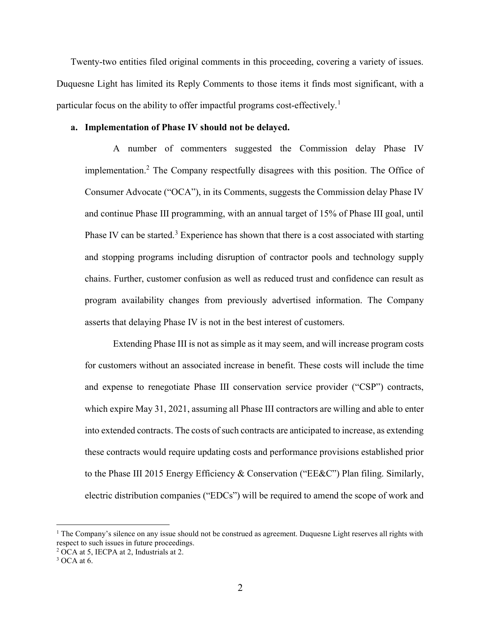Twenty-two entities filed original comments in this proceeding, covering a variety of issues. Duquesne Light has limited its Reply Comments to those items it finds most significant, with a particular focus on the ability to offer impactful programs cost-effectively.<sup>1</sup>

#### a. Implementation of Phase IV should not be delayed.

A number of commenters suggested the Commission delay Phase IV implementation.<sup>2</sup> The Company respectfully disagrees with this position. The Office of Consumer Advocate ("OCA"), in its Comments, suggests the Commission delay Phase IV and continue Phase III programming, with an annual target of 15% of Phase III goal, until Phase IV can be started.<sup>3</sup> Experience has shown that there is a cost associated with starting and stopping programs including disruption of contractor pools and technology supply chains. Further, customer confusion as well as reduced trust and confidence can result as program availability changes from previously advertised information. The Company asserts that delaying Phase IV is not in the best interest of customers.

Extending Phase III is not as simple as it may seem, and will increase program costs for customers without an associated increase in benefit. These costs will include the time and expense to renegotiate Phase III conservation service provider ("CSP") contracts, which expire May 31, 2021, assuming all Phase III contractors are willing and able to enter into extended contracts. The costs of such contracts are anticipated to increase, as extending these contracts would require updating costs and performance provisions established prior to the Phase III 2015 Energy Efficiency & Conservation ("EE&C") Plan filing. Similarly, electric distribution companies ("EDCs") will be required to amend the scope of work and

<sup>&</sup>lt;sup>1</sup> The Company's silence on any issue should not be construed as agreement. Duquesne Light reserves all rights with respect to such issues in future proceedings.

<sup>&</sup>lt;sup>2</sup> OCA at 5, IECPA at 2, Industrials at 2.

 $3$  OCA at 6.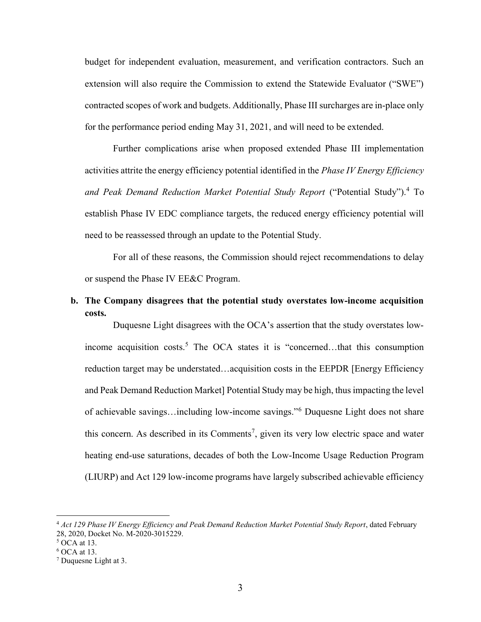budget for independent evaluation, measurement, and verification contractors. Such an extension will also require the Commission to extend the Statewide Evaluator ("SWE") contracted scopes of work and budgets. Additionally, Phase III surcharges are in-place only for the performance period ending May 31, 2021, and will need to be extended.

Further complications arise when proposed extended Phase III implementation activities attrite the energy efficiency potential identified in the *Phase IV Energy Efficiency* and Peak Demand Reduction Market Potential Study Report ("Potential Study").<sup>4</sup> To establish Phase IV EDC compliance targets, the reduced energy efficiency potential will need to be reassessed through an update to the Potential Study.

For all of these reasons, the Commission should reject recommendations to delay or suspend the Phase IV EE&C Program.

# b. The Company disagrees that the potential study overstates low-income acquisition costs.

Duquesne Light disagrees with the OCA's assertion that the study overstates lowincome acquisition costs.<sup>5</sup> The OCA states it is "concerned...that this consumption reduction target may be understated…acquisition costs in the EEPDR [Energy Efficiency and Peak Demand Reduction Market] Potential Study may be high, thus impacting the level of achievable savings…including low-income savings."<sup>6</sup> Duquesne Light does not share this concern. As described in its Comments<sup>7</sup>, given its very low electric space and water heating end-use saturations, decades of both the Low-Income Usage Reduction Program (LIURP) and Act 129 low-income programs have largely subscribed achievable efficiency

<sup>&</sup>lt;sup>4</sup> Act 129 Phase IV Energy Efficiency and Peak Demand Reduction Market Potential Study Report, dated February 28, 2020, Docket No. M-2020-3015229.

<sup>5</sup> OCA at 13.

<sup>6</sup> OCA at 13.

<sup>7</sup> Duquesne Light at 3.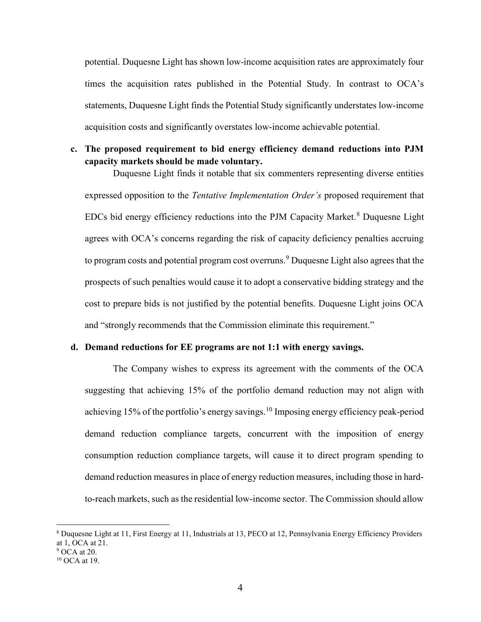potential. Duquesne Light has shown low-income acquisition rates are approximately four times the acquisition rates published in the Potential Study. In contrast to OCA's statements, Duquesne Light finds the Potential Study significantly understates low-income acquisition costs and significantly overstates low-income achievable potential.

# c. The proposed requirement to bid energy efficiency demand reductions into PJM capacity markets should be made voluntary.

Duquesne Light finds it notable that six commenters representing diverse entities expressed opposition to the Tentative Implementation Order's proposed requirement that EDCs bid energy efficiency reductions into the PJM Capacity Market.<sup>8</sup> Duquesne Light agrees with OCA's concerns regarding the risk of capacity deficiency penalties accruing to program costs and potential program cost overruns.<sup>9</sup> Duquesne Light also agrees that the prospects of such penalties would cause it to adopt a conservative bidding strategy and the cost to prepare bids is not justified by the potential benefits. Duquesne Light joins OCA and "strongly recommends that the Commission eliminate this requirement."

## d. Demand reductions for EE programs are not 1:1 with energy savings.

The Company wishes to express its agreement with the comments of the OCA suggesting that achieving 15% of the portfolio demand reduction may not align with achieving 15% of the portfolio's energy savings.<sup>10</sup> Imposing energy efficiency peak-period demand reduction compliance targets, concurrent with the imposition of energy consumption reduction compliance targets, will cause it to direct program spending to demand reduction measures in place of energy reduction measures, including those in hardto-reach markets, such as the residential low-income sector. The Commission should allow

<sup>8</sup> Duquesne Light at 11, First Energy at 11, Industrials at 13, PECO at 12, Pennsylvania Energy Efficiency Providers at 1, OCA at 21.

 $9$  OCA at 20.

<sup>10</sup> OCA at 19.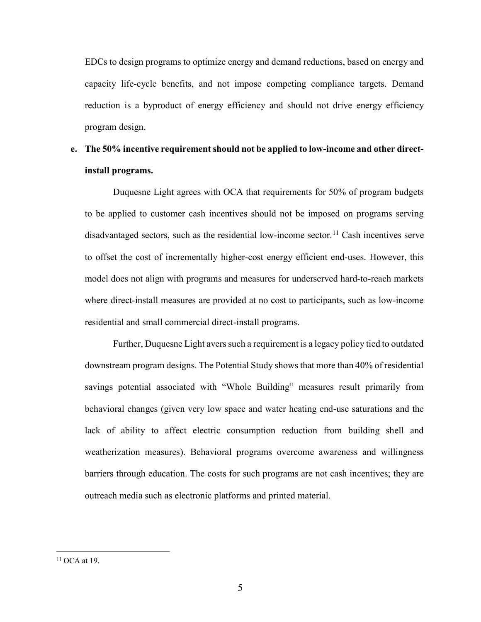EDCs to design programs to optimize energy and demand reductions, based on energy and capacity life-cycle benefits, and not impose competing compliance targets. Demand reduction is a byproduct of energy efficiency and should not drive energy efficiency program design.

# e. The 50% incentive requirement should not be applied to low-income and other directinstall programs.

Duquesne Light agrees with OCA that requirements for 50% of program budgets to be applied to customer cash incentives should not be imposed on programs serving disadvantaged sectors, such as the residential low-income sector.<sup>11</sup> Cash incentives serve to offset the cost of incrementally higher-cost energy efficient end-uses. However, this model does not align with programs and measures for underserved hard-to-reach markets where direct-install measures are provided at no cost to participants, such as low-income residential and small commercial direct-install programs.

Further, Duquesne Light avers such a requirement is a legacy policy tied to outdated downstream program designs. The Potential Study shows that more than 40% of residential savings potential associated with "Whole Building" measures result primarily from behavioral changes (given very low space and water heating end-use saturations and the lack of ability to affect electric consumption reduction from building shell and weatherization measures). Behavioral programs overcome awareness and willingness barriers through education. The costs for such programs are not cash incentives; they are outreach media such as electronic platforms and printed material.

 $11$  OCA at 19.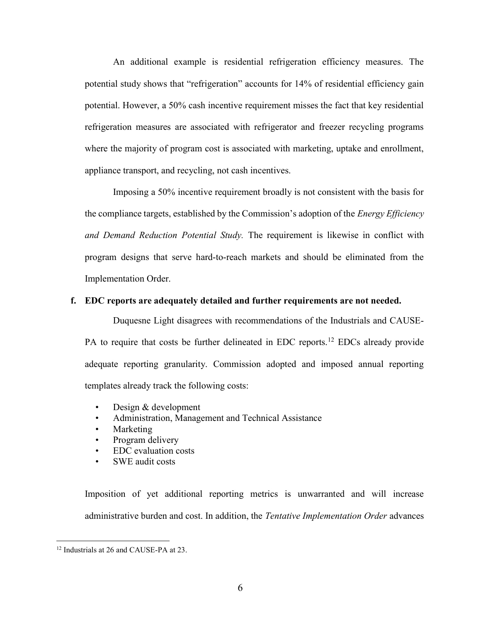An additional example is residential refrigeration efficiency measures. The potential study shows that "refrigeration" accounts for 14% of residential efficiency gain potential. However, a 50% cash incentive requirement misses the fact that key residential refrigeration measures are associated with refrigerator and freezer recycling programs where the majority of program cost is associated with marketing, uptake and enrollment, appliance transport, and recycling, not cash incentives.

Imposing a 50% incentive requirement broadly is not consistent with the basis for the compliance targets, established by the Commission's adoption of the *Energy Efficiency* and Demand Reduction Potential Study. The requirement is likewise in conflict with program designs that serve hard-to-reach markets and should be eliminated from the Implementation Order.

## f. EDC reports are adequately detailed and further requirements are not needed.

Duquesne Light disagrees with recommendations of the Industrials and CAUSE-PA to require that costs be further delineated in EDC reports.<sup>12</sup> EDCs already provide adequate reporting granularity. Commission adopted and imposed annual reporting templates already track the following costs:

- Design & development
- Administration, Management and Technical Assistance
- Marketing
- Program delivery
- EDC evaluation costs
- SWE audit costs

Imposition of yet additional reporting metrics is unwarranted and will increase administrative burden and cost. In addition, the Tentative Implementation Order advances

<sup>&</sup>lt;sup>12</sup> Industrials at 26 and CAUSE-PA at 23.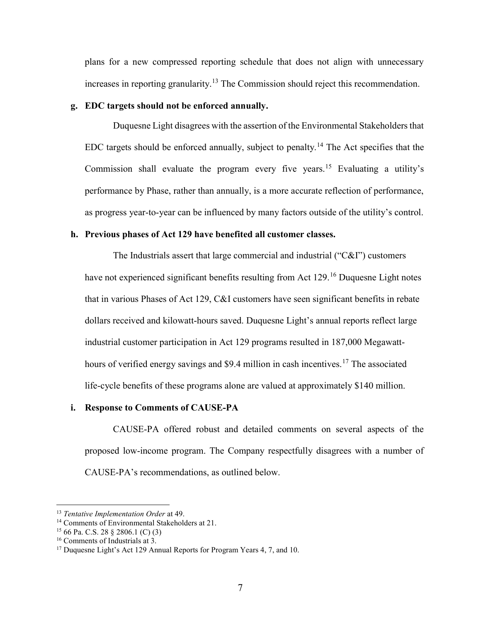plans for a new compressed reporting schedule that does not align with unnecessary increases in reporting granularity.<sup>13</sup> The Commission should reject this recommendation.

## g. EDC targets should not be enforced annually.

Duquesne Light disagrees with the assertion of the Environmental Stakeholders that EDC targets should be enforced annually, subject to penalty.<sup>14</sup> The Act specifies that the Commission shall evaluate the program every five years.<sup>15</sup> Evaluating a utility's performance by Phase, rather than annually, is a more accurate reflection of performance, as progress year-to-year can be influenced by many factors outside of the utility's control.

## h. Previous phases of Act 129 have benefited all customer classes.

The Industrials assert that large commercial and industrial ("C&I") customers have not experienced significant benefits resulting from Act 129.<sup>16</sup> Duquesne Light notes that in various Phases of Act 129, C&I customers have seen significant benefits in rebate dollars received and kilowatt-hours saved. Duquesne Light's annual reports reflect large industrial customer participation in Act 129 programs resulted in 187,000 Megawatthours of verified energy savings and \$9.4 million in cash incentives.<sup>17</sup> The associated life-cycle benefits of these programs alone are valued at approximately \$140 million.

# i. Response to Comments of CAUSE-PA

CAUSE-PA offered robust and detailed comments on several aspects of the proposed low-income program. The Company respectfully disagrees with a number of CAUSE-PA's recommendations, as outlined below.

<sup>&</sup>lt;sup>13</sup> Tentative Implementation Order at 49.

<sup>&</sup>lt;sup>14</sup> Comments of Environmental Stakeholders at 21.

<sup>15</sup> 66 Pa. C.S. 28 § 2806.1 (C) (3)

<sup>16</sup> Comments of Industrials at 3.

<sup>&</sup>lt;sup>17</sup> Duquesne Light's Act 129 Annual Reports for Program Years 4, 7, and 10.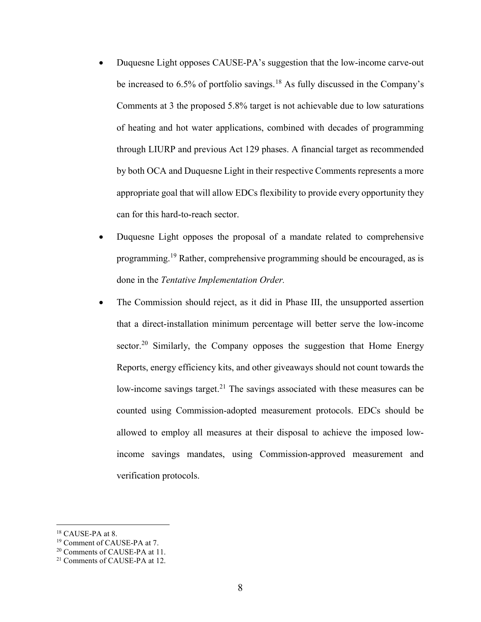- Duquesne Light opposes CAUSE-PA's suggestion that the low-income carve-out be increased to 6.5% of portfolio savings.<sup>18</sup> As fully discussed in the Company's Comments at 3 the proposed 5.8% target is not achievable due to low saturations of heating and hot water applications, combined with decades of programming through LIURP and previous Act 129 phases. A financial target as recommended by both OCA and Duquesne Light in their respective Comments represents a more appropriate goal that will allow EDCs flexibility to provide every opportunity they can for this hard-to-reach sector.
- Duquesne Light opposes the proposal of a mandate related to comprehensive programming.<sup>19</sup> Rather, comprehensive programming should be encouraged, as is done in the Tentative Implementation Order.
- The Commission should reject, as it did in Phase III, the unsupported assertion that a direct-installation minimum percentage will better serve the low-income sector.<sup>20</sup> Similarly, the Company opposes the suggestion that Home Energy Reports, energy efficiency kits, and other giveaways should not count towards the low-income savings target.<sup>21</sup> The savings associated with these measures can be counted using Commission-adopted measurement protocols. EDCs should be allowed to employ all measures at their disposal to achieve the imposed lowincome savings mandates, using Commission-approved measurement and verification protocols.

<sup>18</sup> CAUSE-PA at 8.

<sup>19</sup> Comment of CAUSE-PA at 7.

<sup>&</sup>lt;sup>20</sup> Comments of CAUSE-PA at 11.

<sup>21</sup> Comments of CAUSE-PA at 12.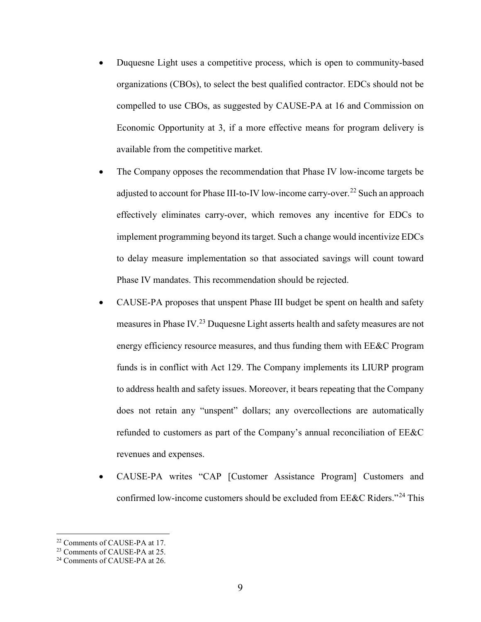- Duquesne Light uses a competitive process, which is open to community-based organizations (CBOs), to select the best qualified contractor. EDCs should not be compelled to use CBOs, as suggested by CAUSE-PA at 16 and Commission on Economic Opportunity at 3, if a more effective means for program delivery is available from the competitive market.
- The Company opposes the recommendation that Phase IV low-income targets be adjusted to account for Phase III-to-IV low-income carry-over.<sup>22</sup> Such an approach effectively eliminates carry-over, which removes any incentive for EDCs to implement programming beyond its target. Such a change would incentivize EDCs to delay measure implementation so that associated savings will count toward Phase IV mandates. This recommendation should be rejected.
- CAUSE-PA proposes that unspent Phase III budget be spent on health and safety measures in Phase IV.<sup>23</sup> Duquesne Light asserts health and safety measures are not energy efficiency resource measures, and thus funding them with EE&C Program funds is in conflict with Act 129. The Company implements its LIURP program to address health and safety issues. Moreover, it bears repeating that the Company does not retain any "unspent" dollars; any overcollections are automatically refunded to customers as part of the Company's annual reconciliation of EE&C revenues and expenses.
- CAUSE-PA writes "CAP [Customer Assistance Program] Customers and confirmed low-income customers should be excluded from EE&C Riders."<sup>24</sup> This

<sup>22</sup> Comments of CAUSE-PA at 17.

<sup>&</sup>lt;sup>23</sup> Comments of CAUSE-PA at 25.

<sup>&</sup>lt;sup>24</sup> Comments of CAUSE-PA at 26.